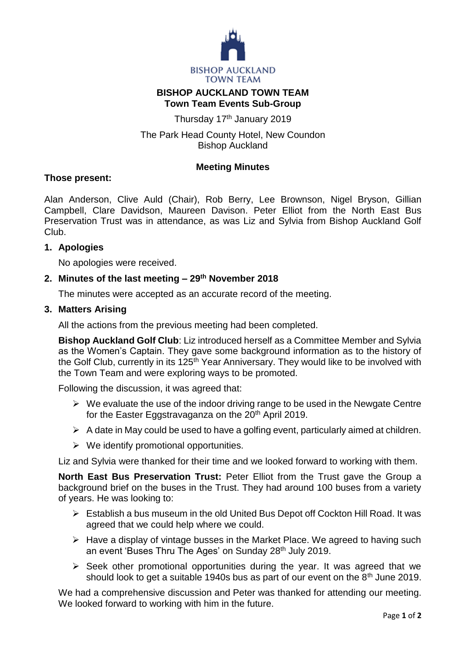

# **BISHOP AUCKLAND TOWN TEAM Town Team Events Sub-Group**

Thursday 17<sup>th</sup> January 2019

The Park Head County Hotel, New Coundon Bishop Auckland

## **Meeting Minutes**

### **Those present:**

Alan Anderson, Clive Auld (Chair), Rob Berry, Lee Brownson, Nigel Bryson, Gillian Campbell, Clare Davidson, Maureen Davison. Peter Elliot from the North East Bus Preservation Trust was in attendance, as was Liz and Sylvia from Bishop Auckland Golf Club.

## **1. Apologies**

No apologies were received.

## **2. Minutes of the last meeting – 29th November 2018**

The minutes were accepted as an accurate record of the meeting.

## **3. Matters Arising**

All the actions from the previous meeting had been completed.

**Bishop Auckland Golf Club**: Liz introduced herself as a Committee Member and Sylvia as the Women's Captain. They gave some background information as to the history of the Golf Club, currently in its 125<sup>th</sup> Year Anniversary. They would like to be involved with the Town Team and were exploring ways to be promoted.

Following the discussion, it was agreed that:

- $\triangleright$  We evaluate the use of the indoor driving range to be used in the Newgate Centre for the Easter Eggstravaganza on the 20<sup>th</sup> April 2019.
- $\triangleright$  A date in May could be used to have a golfing event, particularly aimed at children.
- $\triangleright$  We identify promotional opportunities.

Liz and Sylvia were thanked for their time and we looked forward to working with them.

**North East Bus Preservation Trust:** Peter Elliot from the Trust gave the Group a background brief on the buses in the Trust. They had around 100 buses from a variety of years. He was looking to:

- Establish a bus museum in the old United Bus Depot off Cockton Hill Road. It was agreed that we could help where we could.
- $\triangleright$  Have a display of vintage busses in the Market Place. We agreed to having such an event 'Buses Thru The Ages' on Sunday 28<sup>th</sup> July 2019.
- $\triangleright$  Seek other promotional opportunities during the year. It was agreed that we should look to get a suitable 1940s bus as part of our event on the 8<sup>th</sup> June 2019.

We had a comprehensive discussion and Peter was thanked for attending our meeting. We looked forward to working with him in the future.